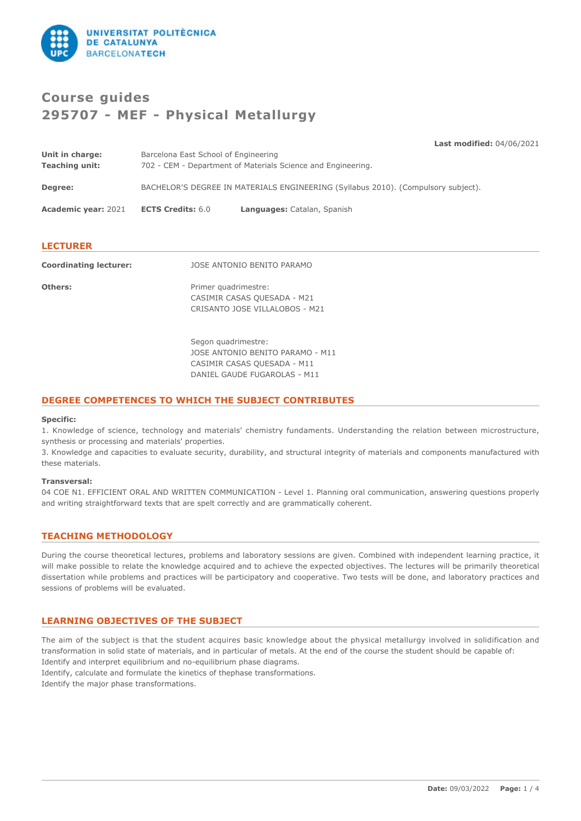

# **Course guides 295707 - MEF - Physical Metallurgy**

**Last modified:** 04/06/2021 **Unit in charge:** Barcelona East School of Engineering **Teaching unit:** 702 - CEM - Department of Materials Science and Engineering. **Degree:** BACHELOR'S DEGREE IN MATERIALS ENGINEERING (Syllabus 2010). (Compulsory subject). **Academic year:** 2021 **ECTS Credits:** 6.0 **Languages:** Catalan, Spanish

# **LECTURER**

| <b>Coordinating lecturer:</b> | JOSE ANTONIO BENITO PARAMO                                                             |
|-------------------------------|----------------------------------------------------------------------------------------|
| Others:                       | Primer quadrimestre:<br>CASIMIR CASAS QUESADA - M21<br>CRISANTO JOSE VILLALOBOS - M21  |
|                               | Segon quadrimestre:<br>JOSE ANTONIO BENITO PARAMO - M11<br>CASIMIR CASAS QUESADA - M11 |

DANIEL GAUDE FUGAROLAS - M11

# **DEGREE COMPETENCES TO WHICH THE SUBJECT CONTRIBUTES**

### **Specific:**

1. Knowledge of science, technology and materials' chemistry fundaments. Understanding the relation between microstructure, synthesis or processing and materials' properties.

3. Knowledge and capacities to evaluate security, durability, and structural integrity of materials and components manufactured with these materials.

### **Transversal:**

04 COE N1. EFFICIENT ORAL AND WRITTEN COMMUNICATION - Level 1. Planning oral communication, answering questions properly and writing straightforward texts that are spelt correctly and are grammatically coherent.

# **TEACHING METHODOLOGY**

During the course theoretical lectures, problems and laboratory sessions are given. Combined with independent learning practice, it will make possible to relate the knowledge acquired and to achieve the expected objectives. The lectures will be primarily theoretical dissertation while problems and practices will be participatory and cooperative. Two tests will be done, and laboratory practices and sessions of problems will be evaluated.

# **LEARNING OBJECTIVES OF THE SUBJECT**

The aim of the subject is that the student acquires basic knowledge about the physical metallurgy involved in solidification and transformation in solid state of materials, and in particular of metals. At the end of the course the student should be capable of: Identify and interpret equilibrium and no-equilibrium phase diagrams. Identify, calculate and formulate the kinetics of thephase transformations.

Identify the major phase transformations.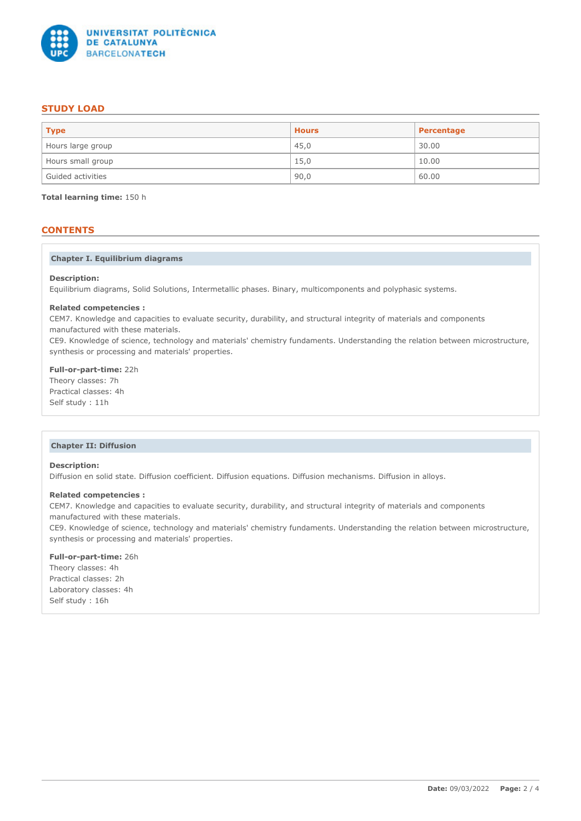

# **STUDY LOAD**

| <b>Type</b>       | <b>Hours</b> | Percentage |
|-------------------|--------------|------------|
| Hours large group | 45,0         | 30.00      |
| Hours small group | 15,0         | 10.00      |
| Guided activities | 90,0         | 60.00      |

**Total learning time:** 150 h

# **CONTENTS**

## **Chapter I. Equilibrium diagrams**

#### **Description:**

Equilibrium diagrams, Solid Solutions, Intermetallic phases. Binary, multicomponents and polyphasic systems.

#### **Related competencies :**

CEM7. Knowledge and capacities to evaluate security, durability, and structural integrity of materials and components manufactured with these materials.

CE9. Knowledge of science, technology and materials' chemistry fundaments. Understanding the relation between microstructure, synthesis or processing and materials' properties.

# **Full-or-part-time:** 22h

Theory classes: 7h Practical classes: 4h Self study : 11h

### **Chapter II: Diffusion**

# **Description:**

Diffusion en solid state. Diffusion coefficient. Diffusion equations. Diffusion mechanisms. Diffusion in alloys.

### **Related competencies :**

CEM7. Knowledge and capacities to evaluate security, durability, and structural integrity of materials and components manufactured with these materials.

CE9. Knowledge of science, technology and materials' chemistry fundaments. Understanding the relation between microstructure, synthesis or processing and materials' properties.

### **Full-or-part-time:** 26h

Theory classes: 4h Practical classes: 2h Laboratory classes: 4h Self study : 16h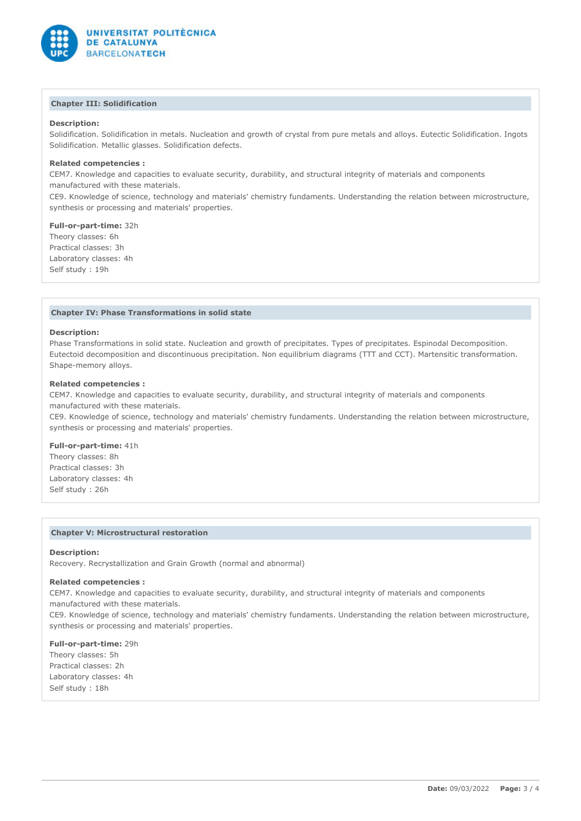

# **Chapter III: Solidification**

## **Description:**

Solidification. Solidification in metals. Nucleation and growth of crystal from pure metals and alloys. Eutectic Solidification. Ingots Solidification. Metallic glasses. Solidification defects.

# **Related competencies :**

CEM7. Knowledge and capacities to evaluate security, durability, and structural integrity of materials and components manufactured with these materials.

CE9. Knowledge of science, technology and materials' chemistry fundaments. Understanding the relation between microstructure, synthesis or processing and materials' properties.

#### **Full-or-part-time:** 32h

Theory classes: 6h Practical classes: 3h Laboratory classes: 4h Self study : 19h

#### **Chapter IV: Phase Transformations in solid state**

#### **Description:**

Phase Transformations in solid state. Nucleation and growth of precipitates. Types of precipitates. Espinodal Decomposition. Eutectoid decomposition and discontinuous precipitation. Non equilibrium diagrams (TTT and CCT). Martensitic transformation. Shape-memory alloys.

### **Related competencies :**

CEM7. Knowledge and capacities to evaluate security, durability, and structural integrity of materials and components manufactured with these materials.

CE9. Knowledge of science, technology and materials' chemistry fundaments. Understanding the relation between microstructure, synthesis or processing and materials' properties.

### **Full-or-part-time:** 41h

Theory classes: 8h Practical classes: 3h Laboratory classes: 4h Self study : 26h

#### **Chapter V: Microstructural restoration**

#### **Description:**

Recovery. Recrystallization and Grain Growth (normal and abnormal)

#### **Related competencies :**

CEM7. Knowledge and capacities to evaluate security, durability, and structural integrity of materials and components manufactured with these materials.

CE9. Knowledge of science, technology and materials' chemistry fundaments. Understanding the relation between microstructure, synthesis or processing and materials' properties.

**Full-or-part-time:** 29h Theory classes: 5h Practical classes: 2h Laboratory classes: 4h Self study : 18h